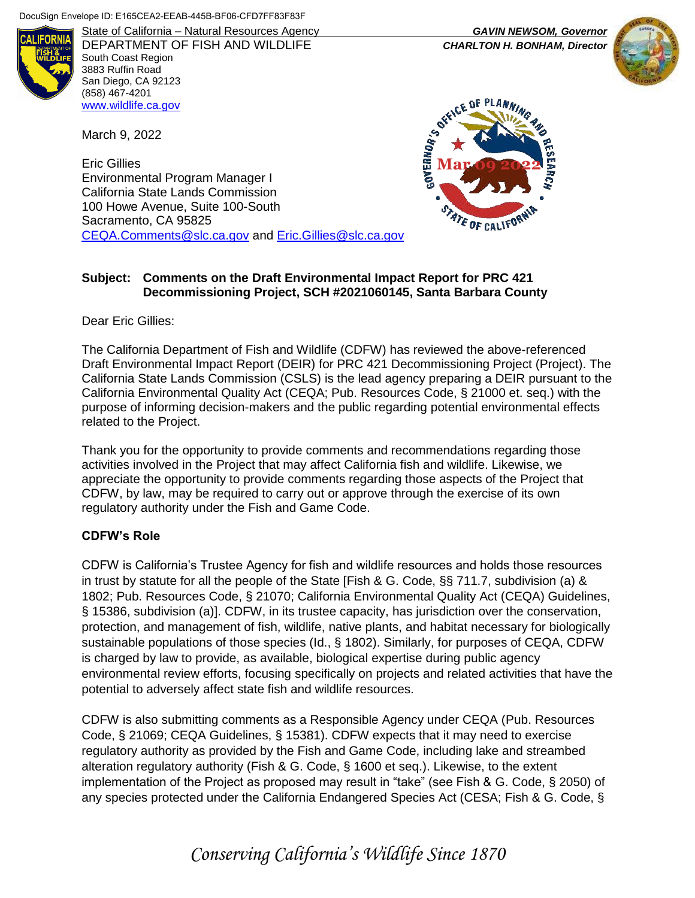

State of California – Natural Resources Agency *GAVIN NEWSOM, Governor* DEPARTMENT OF FISH AND WILDLIFE *CHARLTON H. BONHAM, Director*  South Coast Region 3883 Ruffin Road San Diego, CA 92123 (858) 467-4201 [www.wildlife.ca.gov](http://www.wildlife.ca.gov/)

March 9, 2022

Eric Gillies Environmental Program Manager I California State Lands Commission 100 Howe Avenue, Suite 100-South Sacramento, CA 95825 [CEQA.Comments@slc.ca.gov](mailto:CEQA.Comments@slc.ca.gov) and [Eric.Gillies@slc.ca.gov](mailto:Eric.Gillies@slc.ca.gov)

# CE OF PLA **GOVERNOR'S ONLY** OF CALIFON

## **Subject: Comments on the Draft Environmental Impact Report for PRC 421 Decommissioning Project, SCH #2021060145, Santa Barbara County**

Dear Eric Gillies:

The California Department of Fish and Wildlife (CDFW) has reviewed the above-referenced Draft Environmental Impact Report (DEIR) for PRC 421 Decommissioning Project (Project). The California State Lands Commission (CSLS) is the lead agency preparing a DEIR pursuant to the California Environmental Quality Act (CEQA; Pub. Resources Code, § 21000 et. seq.) with the purpose of informing decision-makers and the public regarding potential environmental effects related to the Project.

Thank you for the opportunity to provide comments and recommendations regarding those activities involved in the Project that may affect California fish and wildlife. Likewise, we appreciate the opportunity to provide comments regarding those aspects of the Project that CDFW, by law, may be required to carry out or approve through the exercise of its own regulatory authority under the Fish and Game Code.

## **CDFW's Role**

CDFW is California's Trustee Agency for fish and wildlife resources and holds those resources in trust by statute for all the people of the State [Fish & G. Code, §§ 711.7, subdivision (a) & 1802; Pub. Resources Code, § 21070; California Environmental Quality Act (CEQA) Guidelines, § 15386, subdivision (a)]. CDFW, in its trustee capacity, has jurisdiction over the conservation, protection, and management of fish, wildlife, native plants, and habitat necessary for biologically sustainable populations of those species (Id., § 1802). Similarly, for purposes of CEQA, CDFW is charged by law to provide, as available, biological expertise during public agency environmental review efforts, focusing specifically on projects and related activities that have the potential to adversely affect state fish and wildlife resources.

CDFW is also submitting comments as a Responsible Agency under CEQA (Pub. Resources Code, § 21069; CEQA Guidelines, § 15381). CDFW expects that it may need to exercise regulatory authority as provided by the Fish and Game Code, including lake and streambed alteration regulatory authority (Fish & G. Code, § 1600 et seq.). Likewise, to the extent implementation of the Project as proposed may result in "take" (see Fish & G. Code, § 2050) of any species protected under the California Endangered Species Act (CESA; Fish & G. Code, §

*Conserving California's Wildlife Since 1870*

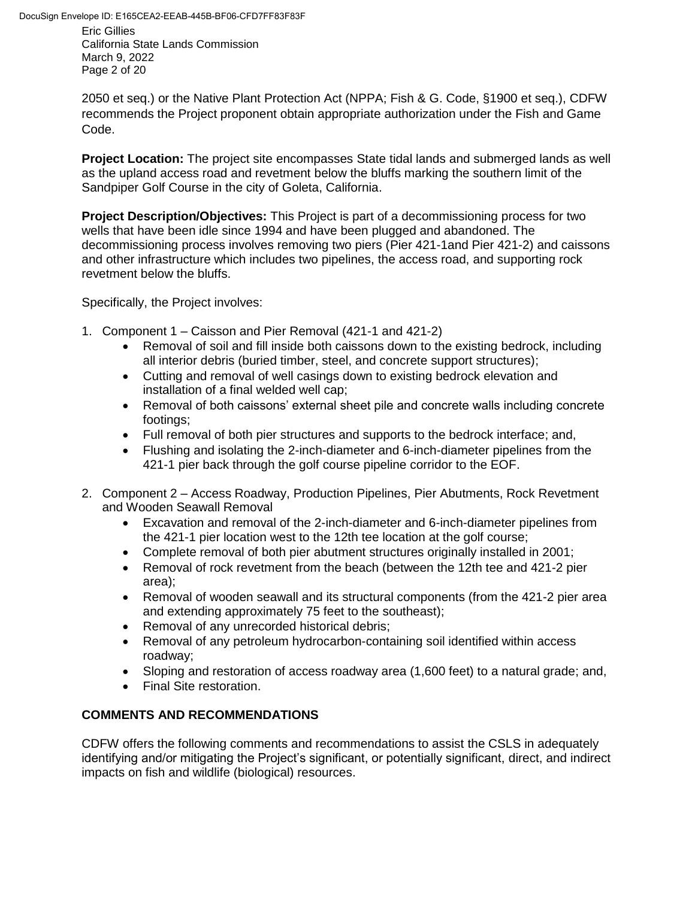Eric Gillies California State Lands Commission March 9, 2022 Page 2 of 20

2050 et seq.) or the Native Plant Protection Act (NPPA; Fish & G. Code, §1900 et seq.), CDFW recommends the Project proponent obtain appropriate authorization under the Fish and Game Code.

**Project Location:** The project site encompasses State tidal lands and submerged lands as well as the upland access road and revetment below the bluffs marking the southern limit of the Sandpiper Golf Course in the city of Goleta, California.

**Project Description/Objectives:** This Project is part of a decommissioning process for two wells that have been idle since 1994 and have been plugged and abandoned. The decommissioning process involves removing two piers (Pier 421-1and Pier 421-2) and caissons and other infrastructure which includes two pipelines, the access road, and supporting rock revetment below the bluffs.

Specifically, the Project involves:

- 1. Component 1 Caisson and Pier Removal (421-1 and 421-2)
	- Removal of soil and fill inside both caissons down to the existing bedrock, including all interior debris (buried timber, steel, and concrete support structures);
	- Cutting and removal of well casings down to existing bedrock elevation and installation of a final welded well cap;
	- Removal of both caissons' external sheet pile and concrete walls including concrete footings;
	- Full removal of both pier structures and supports to the bedrock interface; and,
	- Flushing and isolating the 2-inch-diameter and 6-inch-diameter pipelines from the 421-1 pier back through the golf course pipeline corridor to the EOF.
- 2. Component 2 Access Roadway, Production Pipelines, Pier Abutments, Rock Revetment and Wooden Seawall Removal
	- Excavation and removal of the 2-inch-diameter and 6-inch-diameter pipelines from the 421-1 pier location west to the 12th tee location at the golf course;
	- Complete removal of both pier abutment structures originally installed in 2001;
	- Removal of rock revetment from the beach (between the 12th tee and 421-2 pier area);
	- Removal of wooden seawall and its structural components (from the 421-2 pier area and extending approximately 75 feet to the southeast);
	- Removal of any unrecorded historical debris;
	- Removal of any petroleum hydrocarbon-containing soil identified within access roadway;
	- Sloping and restoration of access roadway area (1,600 feet) to a natural grade; and,
	- **•** Final Site restoration.

# **COMMENTS AND RECOMMENDATIONS**

CDFW offers the following comments and recommendations to assist the CSLS in adequately identifying and/or mitigating the Project's significant, or potentially significant, direct, and indirect impacts on fish and wildlife (biological) resources.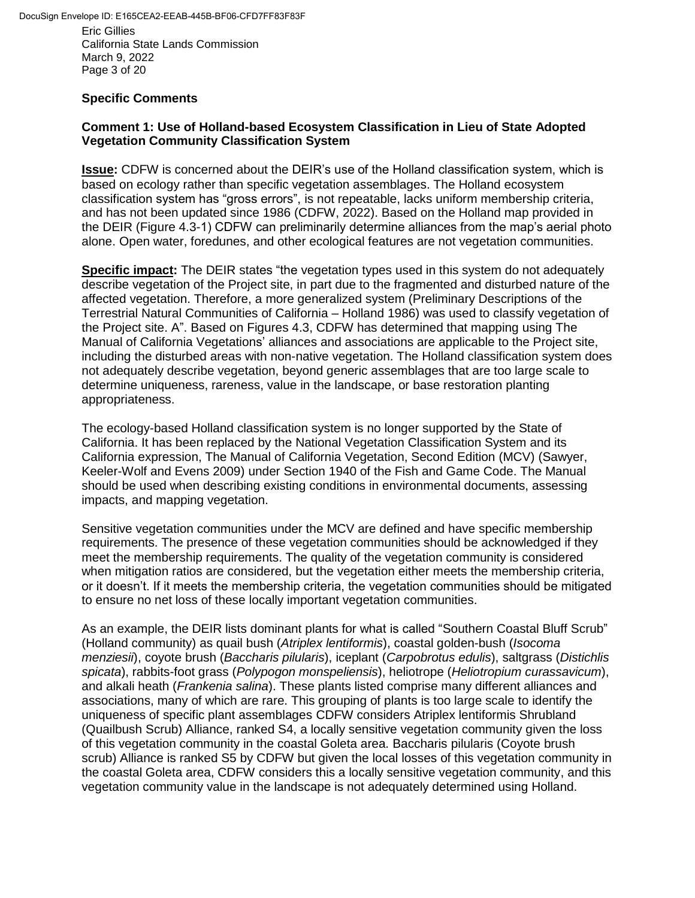Eric Gillies California State Lands Commission March 9, 2022 Page 3 of 20

## **Specific Comments**

## **Comment 1: Use of Holland-based Ecosystem Classification in Lieu of State Adopted Vegetation Community Classification System**

**Issue:** CDFW is concerned about the DEIR's use of the Holland classification system, which is based on ecology rather than specific vegetation assemblages. The Holland ecosystem classification system has "gross errors", is not repeatable, lacks uniform membership criteria, and has not been updated since 1986 (CDFW, 2022). Based on the Holland map provided in the DEIR (Figure 4.3-1) CDFW can preliminarily determine alliances from the map's aerial photo alone. Open water, foredunes, and other ecological features are not vegetation communities.

**Specific impact:** The DEIR states "the vegetation types used in this system do not adequately describe vegetation of the Project site, in part due to the fragmented and disturbed nature of the affected vegetation. Therefore, a more generalized system (Preliminary Descriptions of the Terrestrial Natural Communities of California – Holland 1986) was used to classify vegetation of the Project site. A". Based on Figures 4.3, CDFW has determined that mapping using The Manual of California Vegetations' alliances and associations are applicable to the Project site, including the disturbed areas with non-native vegetation. The Holland classification system does not adequately describe vegetation, beyond generic assemblages that are too large scale to determine uniqueness, rareness, value in the landscape, or base restoration planting appropriateness.

The ecology-based Holland classification system is no longer supported by the State of California. It has been replaced by the National Vegetation Classification System and its California expression, The Manual of California Vegetation, Second Edition (MCV) (Sawyer, Keeler-Wolf and Evens 2009) under Section 1940 of the Fish and Game Code. The Manual should be used when describing existing conditions in environmental documents, assessing impacts, and mapping vegetation.

Sensitive vegetation communities under the MCV are defined and have specific membership requirements. The presence of these vegetation communities should be acknowledged if they meet the membership requirements. The quality of the vegetation community is considered when mitigation ratios are considered, but the vegetation either meets the membership criteria, or it doesn't. If it meets the membership criteria, the vegetation communities should be mitigated to ensure no net loss of these locally important vegetation communities.

As an example, the DEIR lists dominant plants for what is called "Southern Coastal Bluff Scrub" (Holland community) as quail bush (*Atriplex lentiformis*), coastal golden-bush (*Isocoma menziesii*), coyote brush (*Baccharis pilularis*), iceplant (*Carpobrotus edulis*), saltgrass (*Distichlis spicata*), rabbits-foot grass (*Polypogon monspeliensis*), heliotrope (*Heliotropium curassavicum*), and alkali heath (*Frankenia salina*). These plants listed comprise many different alliances and associations, many of which are rare. This grouping of plants is too large scale to identify the uniqueness of specific plant assemblages CDFW considers Atriplex lentiformis Shrubland (Quailbush Scrub) Alliance, ranked S4, a locally sensitive vegetation community given the loss of this vegetation community in the coastal Goleta area. Baccharis pilularis (Coyote brush scrub) Alliance is ranked S5 by CDFW but given the local losses of this vegetation community in the coastal Goleta area, CDFW considers this a locally sensitive vegetation community, and this vegetation community value in the landscape is not adequately determined using Holland.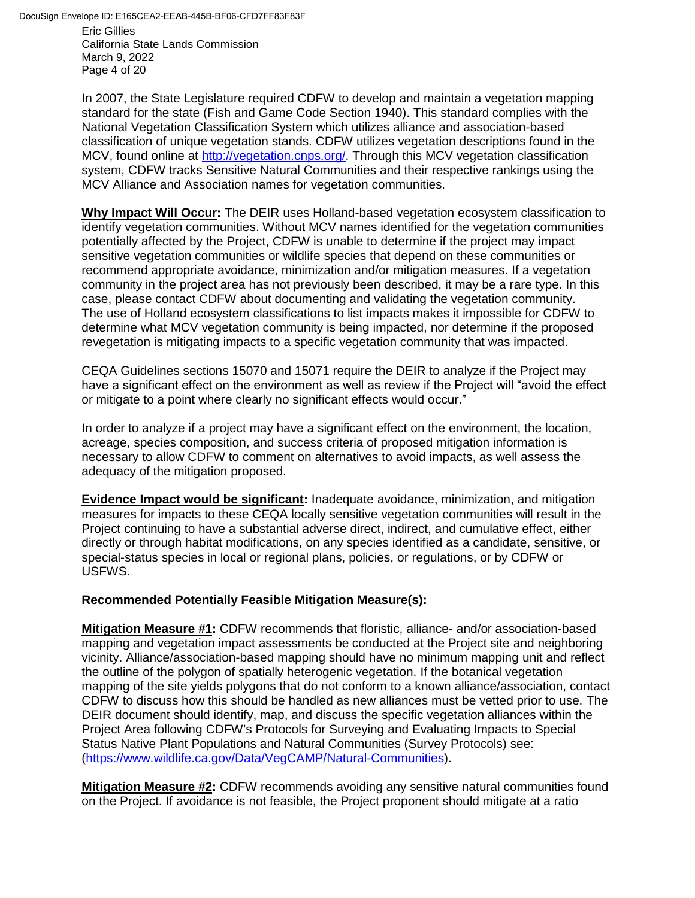Eric Gillies California State Lands Commission March 9, 2022 Page 4 of 20

In 2007, the State Legislature required CDFW to develop and maintain a vegetation mapping standard for the state (Fish and Game Code Section 1940). This standard complies with the National Vegetation Classification System which utilizes alliance and association-based classification of unique vegetation stands. CDFW utilizes vegetation descriptions found in the MCV, found online at [http://vegetation.cnps.org/.](http://vegetation.cnps.org/) Through this MCV vegetation classification system, CDFW tracks Sensitive Natural Communities and their respective rankings using the MCV Alliance and Association names for vegetation communities.

**Why Impact Will Occur:** The DEIR uses Holland-based vegetation ecosystem classification to identify vegetation communities. Without MCV names identified for the vegetation communities potentially affected by the Project, CDFW is unable to determine if the project may impact sensitive vegetation communities or wildlife species that depend on these communities or recommend appropriate avoidance, minimization and/or mitigation measures. If a vegetation community in the project area has not previously been described, it may be a rare type. In this case, please contact CDFW about documenting and validating the vegetation community. The use of Holland ecosystem classifications to list impacts makes it impossible for CDFW to determine what MCV vegetation community is being impacted, nor determine if the proposed revegetation is mitigating impacts to a specific vegetation community that was impacted.

CEQA Guidelines sections 15070 and 15071 require the DEIR to analyze if the Project may have a significant effect on the environment as well as review if the Project will "avoid the effect or mitigate to a point where clearly no significant effects would occur."

In order to analyze if a project may have a significant effect on the environment, the location, acreage, species composition, and success criteria of proposed mitigation information is necessary to allow CDFW to comment on alternatives to avoid impacts, as well assess the adequacy of the mitigation proposed.

**Evidence Impact would be significant:** Inadequate avoidance, minimization, and mitigation measures for impacts to these CEQA locally sensitive vegetation communities will result in the Project continuing to have a substantial adverse direct, indirect, and cumulative effect, either directly or through habitat modifications, on any species identified as a candidate, sensitive, or special-status species in local or regional plans, policies, or regulations, or by CDFW or USFWS.

## **Recommended Potentially Feasible Mitigation Measure(s):**

**Mitigation Measure #1:** CDFW recommends that floristic, alliance- and/or association-based mapping and vegetation impact assessments be conducted at the Project site and neighboring vicinity. Alliance/association-based mapping should have no minimum mapping unit and reflect the outline of the polygon of spatially heterogenic vegetation. If the botanical vegetation mapping of the site yields polygons that do not conform to a known alliance/association, contact CDFW to discuss how this should be handled as new alliances must be vetted prior to use. The DEIR document should identify, map, and discuss the specific vegetation alliances within the Project Area following CDFW's Protocols for Surveying and Evaluating Impacts to Special Status Native Plant Populations and Natural Communities (Survey Protocols) see: [\(https://www.wildlife.ca.gov/Data/VegCAMP/Natural-Communities\)](https://www.wildlife.ca.gov/Data/VegCAMP/Natural-Communities).

**Mitigation Measure #2:** CDFW recommends avoiding any sensitive natural communities found on the Project. If avoidance is not feasible, the Project proponent should mitigate at a ratio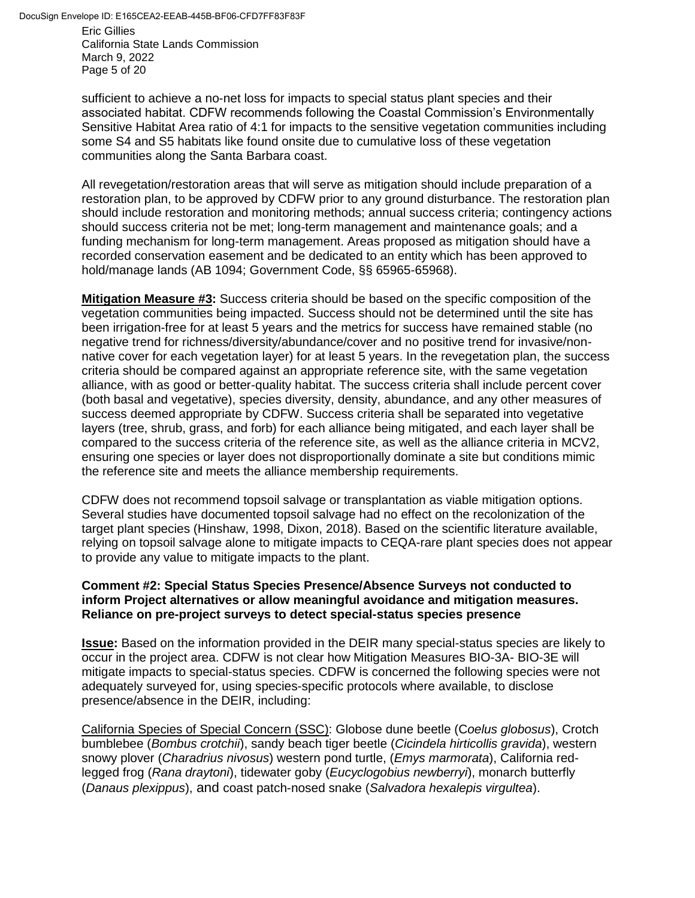Eric Gillies California State Lands Commission March 9, 2022 Page 5 of 20

sufficient to achieve a no-net loss for impacts to special status plant species and their associated habitat. CDFW recommends following the Coastal Commission's Environmentally Sensitive Habitat Area ratio of 4:1 for impacts to the sensitive vegetation communities including some S4 and S5 habitats like found onsite due to cumulative loss of these vegetation communities along the Santa Barbara coast.

All revegetation/restoration areas that will serve as mitigation should include preparation of a restoration plan, to be approved by CDFW prior to any ground disturbance. The restoration plan should include restoration and monitoring methods; annual success criteria; contingency actions should success criteria not be met; long-term management and maintenance goals; and a funding mechanism for long-term management. Areas proposed as mitigation should have a recorded conservation easement and be dedicated to an entity which has been approved to hold/manage lands (AB 1094; Government Code, §§ 65965-65968).

**Mitigation Measure #3:** Success criteria should be based on the specific composition of the vegetation communities being impacted. Success should not be determined until the site has been irrigation-free for at least 5 years and the metrics for success have remained stable (no negative trend for richness/diversity/abundance/cover and no positive trend for invasive/nonnative cover for each vegetation layer) for at least 5 years. In the revegetation plan, the success criteria should be compared against an appropriate reference site, with the same vegetation alliance, with as good or better-quality habitat. The success criteria shall include percent cover (both basal and vegetative), species diversity, density, abundance, and any other measures of success deemed appropriate by CDFW. Success criteria shall be separated into vegetative layers (tree, shrub, grass, and forb) for each alliance being mitigated, and each layer shall be compared to the success criteria of the reference site, as well as the alliance criteria in MCV2, ensuring one species or layer does not disproportionally dominate a site but conditions mimic the reference site and meets the alliance membership requirements.

CDFW does not recommend topsoil salvage or transplantation as viable mitigation options. Several studies have documented topsoil salvage had no effect on the recolonization of the target plant species (Hinshaw, 1998, Dixon, 2018). Based on the scientific literature available, relying on topsoil salvage alone to mitigate impacts to CEQA-rare plant species does not appear to provide any value to mitigate impacts to the plant.

#### **Comment #2: Special Status Species Presence/Absence Surveys not conducted to inform Project alternatives or allow meaningful avoidance and mitigation measures. Reliance on pre-project surveys to detect special-status species presence**

**Issue:** Based on the information provided in the DEIR many special-status species are likely to occur in the project area. CDFW is not clear how Mitigation Measures BIO-3A- BIO-3E will mitigate impacts to special-status species. CDFW is concerned the following species were not adequately surveyed for, using species-specific protocols where available, to disclose presence/absence in the DEIR, including:

California Species of Special Concern (SSC): Globose dune beetle (C*oelus globosus*), Crotch bumblebee (*Bombus crotchii*), sandy beach tiger beetle (*Cicindela hirticollis gravida*), western snowy plover (*Charadrius nivosus*) western pond turtle, (*Emys marmorata*), California redlegged frog (*Rana draytoni*), tidewater goby (*Eucyclogobius newberryi*), monarch butterfly (*Danaus plexippus*), and coast patch-nosed snake (*Salvadora hexalepis virgultea*).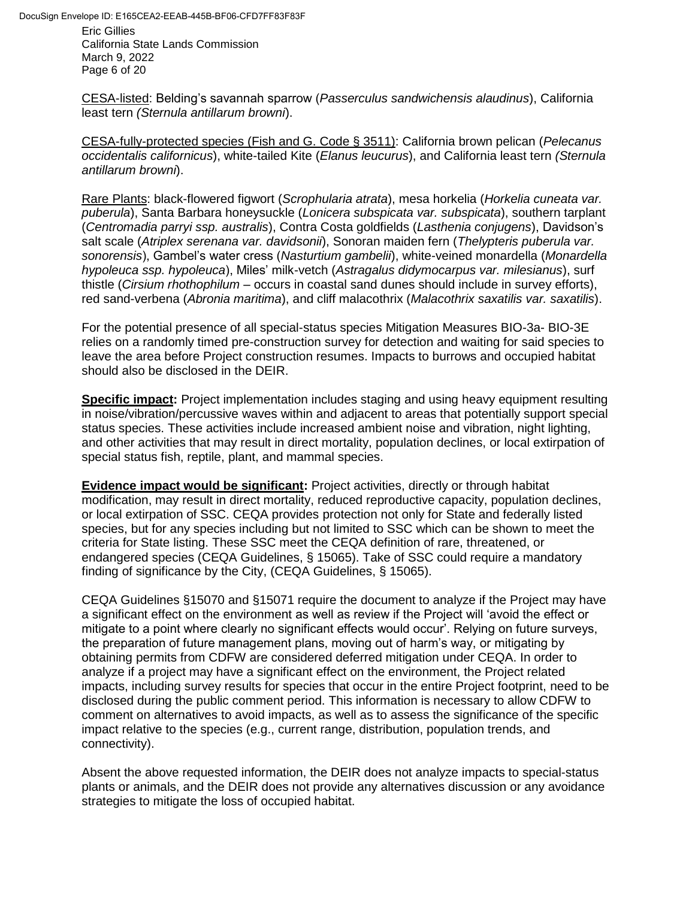Eric Gillies California State Lands Commission March 9, 2022 Page 6 of 20

CESA-listed: Belding's savannah sparrow (*Passerculus sandwichensis alaudinus*), California least tern *(Sternula antillarum browni*).

CESA-fully-protected species (Fish and G. Code § 3511): California brown pelican (*Pelecanus occidentalis californicus*), white-tailed Kite (*Elanus leucurus*), and California least tern *(Sternula antillarum browni*).

Rare Plants: black-flowered figwort (*Scrophularia atrata*), mesa horkelia (*Horkelia cuneata var. puberula*), Santa Barbara honeysuckle (*Lonicera subspicata var. subspicata*), southern tarplant (*Centromadia parryi ssp. australis*), Contra Costa goldfields (*Lasthenia conjugens*), Davidson's salt scale (*Atriplex serenana var. davidsonii*), Sonoran maiden fern (*Thelypteris puberula var. sonorensis*), Gambel's water cress (*Nasturtium gambelii*), white-veined monardella (*Monardella hypoleuca ssp. hypoleuca*), Miles' milk-vetch (*Astragalus didymocarpus var. milesianus*), surf thistle (*Cirsium rhothophilum* – occurs in coastal sand dunes should include in survey efforts), red sand-verbena (*Abronia maritima*), and cliff malacothrix (*Malacothrix saxatilis var. saxatilis*).

For the potential presence of all special-status species Mitigation Measures BIO-3a- BIO-3E relies on a randomly timed pre-construction survey for detection and waiting for said species to leave the area before Project construction resumes. Impacts to burrows and occupied habitat should also be disclosed in the DEIR.

**Specific impact:** Project implementation includes staging and using heavy equipment resulting in noise/vibration/percussive waves within and adjacent to areas that potentially support special status species. These activities include increased ambient noise and vibration, night lighting, and other activities that may result in direct mortality, population declines, or local extirpation of special status fish, reptile, plant, and mammal species.

**Evidence impact would be significant:** Project activities, directly or through habitat modification, may result in direct mortality, reduced reproductive capacity, population declines, or local extirpation of SSC. CEQA provides protection not only for State and federally listed species, but for any species including but not limited to SSC which can be shown to meet the criteria for State listing. These SSC meet the CEQA definition of rare, threatened, or endangered species (CEQA Guidelines, § 15065). Take of SSC could require a mandatory finding of significance by the City, (CEQA Guidelines, § 15065).

CEQA Guidelines §15070 and §15071 require the document to analyze if the Project may have a significant effect on the environment as well as review if the Project will 'avoid the effect or mitigate to a point where clearly no significant effects would occur'. Relying on future surveys, the preparation of future management plans, moving out of harm's way, or mitigating by obtaining permits from CDFW are considered deferred mitigation under CEQA. In order to analyze if a project may have a significant effect on the environment, the Project related impacts, including survey results for species that occur in the entire Project footprint, need to be disclosed during the public comment period. This information is necessary to allow CDFW to comment on alternatives to avoid impacts, as well as to assess the significance of the specific impact relative to the species (e.g., current range, distribution, population trends, and connectivity).

Absent the above requested information, the DEIR does not analyze impacts to special-status plants or animals, and the DEIR does not provide any alternatives discussion or any avoidance strategies to mitigate the loss of occupied habitat.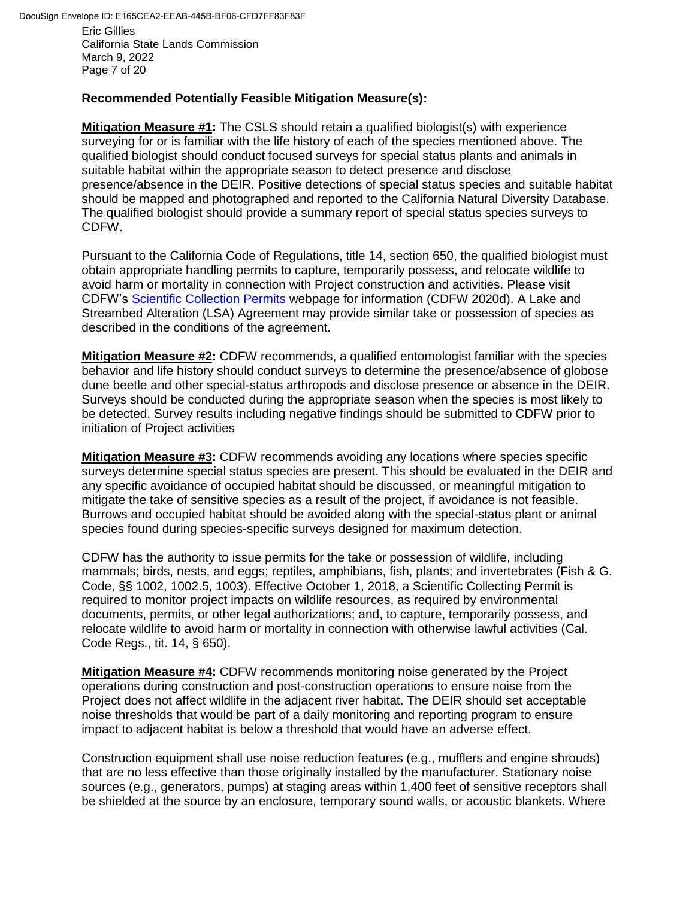California State Lands Commission March 9, 2022 Page 7 of 20

## **Recommended Potentially Feasible Mitigation Measure(s):**

**Mitigation Measure #1:** The CSLS should retain a qualified biologist(s) with experience surveying for or is familiar with the life history of each of the species mentioned above. The qualified biologist should conduct focused surveys for special status plants and animals in suitable habitat within the appropriate season to detect presence and disclose presence/absence in the DEIR. Positive detections of special status species and suitable habitat should be mapped and photographed and reported to the California Natural Diversity Database. The qualified biologist should provide a summary report of special status species surveys to CDFW.

Pursuant to the California Code of Regulations, title 14, section 650, the qualified biologist must obtain appropriate handling permits to capture, temporarily possess, and relocate wildlife to avoid harm or mortality in connection with Project construction and activities. Please visit CDFW's [Scientific Collection Permits w](https://wildlife.ca.gov/Licensing/Scientific-Collecting)ebpage for information (CDFW 2020d). A Lake and Streambed Alteration (LSA) Agreement may provide similar take or possession of species as described in the conditions of the agreement.

**Mitigation Measure #2:** CDFW recommends, a qualified entomologist familiar with the species behavior and life history should conduct surveys to determine the presence/absence of globose dune beetle and other special-status arthropods and disclose presence or absence in the DEIR. Surveys should be conducted during the appropriate season when the species is most likely to be detected. Survey results including negative findings should be submitted to CDFW prior to initiation of Project activities

**Mitigation Measure #3:** CDFW recommends avoiding any locations where species specific surveys determine special status species are present. This should be evaluated in the DEIR and any specific avoidance of occupied habitat should be discussed, or meaningful mitigation to mitigate the take of sensitive species as a result of the project, if avoidance is not feasible. Burrows and occupied habitat should be avoided along with the special-status plant or animal species found during species-specific surveys designed for maximum detection.

CDFW has the authority to issue permits for the take or possession of wildlife, including mammals; birds, nests, and eggs; reptiles, amphibians, fish, plants; and invertebrates (Fish & G. Code, §§ 1002, 1002.5, 1003). Effective October 1, 2018, a Scientific Collecting Permit is required to monitor project impacts on wildlife resources, as required by environmental documents, permits, or other legal authorizations; and, to capture, temporarily possess, and relocate wildlife to avoid harm or mortality in connection with otherwise lawful activities (Cal. Code Regs., tit. 14, § 650).

**Mitigation Measure #4:** CDFW recommends monitoring noise generated by the Project operations during construction and post-construction operations to ensure noise from the Project does not affect wildlife in the adjacent river habitat. The DEIR should set acceptable noise thresholds that would be part of a daily monitoring and reporting program to ensure impact to adjacent habitat is below a threshold that would have an adverse effect.

Construction equipment shall use noise reduction features (e.g., mufflers and engine shrouds) that are no less effective than those originally installed by the manufacturer. Stationary noise sources (e.g., generators, pumps) at staging areas within 1,400 feet of sensitive receptors shall be shielded at the source by an enclosure, temporary sound walls, or acoustic blankets. Where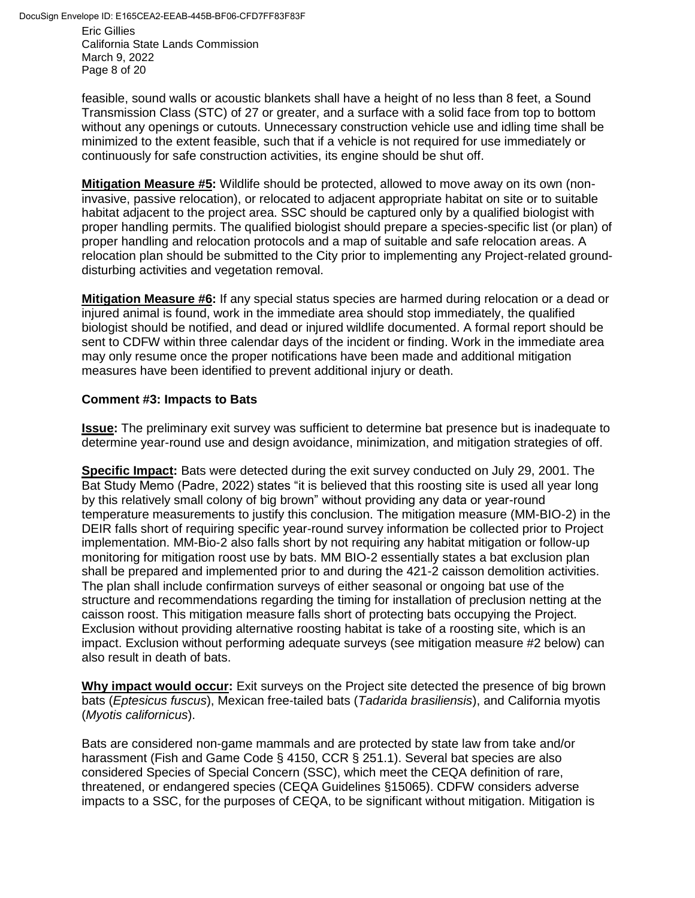Eric Gillies California State Lands Commission March 9, 2022 Page 8 of 20

feasible, sound walls or acoustic blankets shall have a height of no less than 8 feet, a Sound Transmission Class (STC) of 27 or greater, and a surface with a solid face from top to bottom without any openings or cutouts. Unnecessary construction vehicle use and idling time shall be minimized to the extent feasible, such that if a vehicle is not required for use immediately or continuously for safe construction activities, its engine should be shut off.

**Mitigation Measure #5:** Wildlife should be protected, allowed to move away on its own (noninvasive, passive relocation), or relocated to adjacent appropriate habitat on site or to suitable habitat adjacent to the project area. SSC should be captured only by a qualified biologist with proper handling permits. The qualified biologist should prepare a species-specific list (or plan) of proper handling and relocation protocols and a map of suitable and safe relocation areas. A relocation plan should be submitted to the City prior to implementing any Project-related grounddisturbing activities and vegetation removal.

**Mitigation Measure #6:** If any special status species are harmed during relocation or a dead or injured animal is found, work in the immediate area should stop immediately, the qualified biologist should be notified, and dead or injured wildlife documented. A formal report should be sent to CDFW within three calendar days of the incident or finding. Work in the immediate area may only resume once the proper notifications have been made and additional mitigation measures have been identified to prevent additional injury or death.

## **Comment #3: Impacts to Bats**

**Issue:** The preliminary exit survey was sufficient to determine bat presence but is inadequate to determine year-round use and design avoidance, minimization, and mitigation strategies of off.

**Specific Impact:** Bats were detected during the exit survey conducted on July 29, 2001. The Bat Study Memo (Padre, 2022) states "it is believed that this roosting site is used all year long by this relatively small colony of big brown" without providing any data or year-round temperature measurements to justify this conclusion. The mitigation measure (MM-BIO-2) in the DEIR falls short of requiring specific year-round survey information be collected prior to Project implementation. MM-Bio-2 also falls short by not requiring any habitat mitigation or follow-up monitoring for mitigation roost use by bats. MM BIO-2 essentially states a bat exclusion plan shall be prepared and implemented prior to and during the 421-2 caisson demolition activities. The plan shall include confirmation surveys of either seasonal or ongoing bat use of the structure and recommendations regarding the timing for installation of preclusion netting at the caisson roost. This mitigation measure falls short of protecting bats occupying the Project. Exclusion without providing alternative roosting habitat is take of a roosting site, which is an impact. Exclusion without performing adequate surveys (see mitigation measure #2 below) can also result in death of bats.

**Why impact would occur:** Exit surveys on the Project site detected the presence of big brown bats (*Eptesicus fuscus*), Mexican free-tailed bats (*Tadarida brasiliensis*), and California myotis (*Myotis californicus*).

Bats are considered non-game mammals and are protected by state law from take and/or harassment (Fish and Game Code § 4150, CCR § 251.1). Several bat species are also considered Species of Special Concern (SSC), which meet the CEQA definition of rare, threatened, or endangered species (CEQA Guidelines §15065). CDFW considers adverse impacts to a SSC, for the purposes of CEQA, to be significant without mitigation. Mitigation is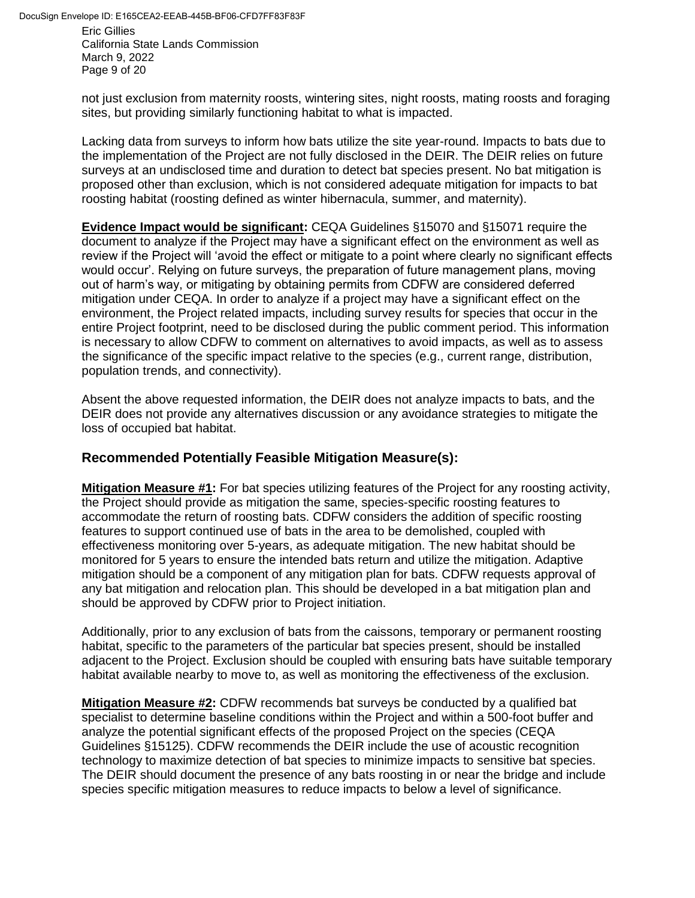Eric Gillies California State Lands Commission March 9, 2022 Page 9 of 20

not just exclusion from maternity roosts, wintering sites, night roosts, mating roosts and foraging sites, but providing similarly functioning habitat to what is impacted.

Lacking data from surveys to inform how bats utilize the site year-round. Impacts to bats due to the implementation of the Project are not fully disclosed in the DEIR. The DEIR relies on future surveys at an undisclosed time and duration to detect bat species present. No bat mitigation is proposed other than exclusion, which is not considered adequate mitigation for impacts to bat roosting habitat (roosting defined as winter hibernacula, summer, and maternity).

**Evidence Impact would be significant:** CEQA Guidelines §15070 and §15071 require the document to analyze if the Project may have a significant effect on the environment as well as review if the Project will 'avoid the effect or mitigate to a point where clearly no significant effects would occur'. Relying on future surveys, the preparation of future management plans, moving out of harm's way, or mitigating by obtaining permits from CDFW are considered deferred mitigation under CEQA. In order to analyze if a project may have a significant effect on the environment, the Project related impacts, including survey results for species that occur in the entire Project footprint, need to be disclosed during the public comment period. This information is necessary to allow CDFW to comment on alternatives to avoid impacts, as well as to assess the significance of the specific impact relative to the species (e.g., current range, distribution, population trends, and connectivity).

Absent the above requested information, the DEIR does not analyze impacts to bats, and the DEIR does not provide any alternatives discussion or any avoidance strategies to mitigate the loss of occupied bat habitat.

# **Recommended Potentially Feasible Mitigation Measure(s):**

**Mitigation Measure #1:** For bat species utilizing features of the Project for any roosting activity, the Project should provide as mitigation the same, species-specific roosting features to accommodate the return of roosting bats. CDFW considers the addition of specific roosting features to support continued use of bats in the area to be demolished, coupled with effectiveness monitoring over 5-years, as adequate mitigation. The new habitat should be monitored for 5 years to ensure the intended bats return and utilize the mitigation. Adaptive mitigation should be a component of any mitigation plan for bats. CDFW requests approval of any bat mitigation and relocation plan. This should be developed in a bat mitigation plan and should be approved by CDFW prior to Project initiation.

Additionally, prior to any exclusion of bats from the caissons, temporary or permanent roosting habitat, specific to the parameters of the particular bat species present, should be installed adjacent to the Project. Exclusion should be coupled with ensuring bats have suitable temporary habitat available nearby to move to, as well as monitoring the effectiveness of the exclusion.

**Mitigation Measure #2:** CDFW recommends bat surveys be conducted by a qualified bat specialist to determine baseline conditions within the Project and within a 500-foot buffer and analyze the potential significant effects of the proposed Project on the species (CEQA Guidelines §15125). CDFW recommends the DEIR include the use of acoustic recognition technology to maximize detection of bat species to minimize impacts to sensitive bat species. The DEIR should document the presence of any bats roosting in or near the bridge and include species specific mitigation measures to reduce impacts to below a level of significance.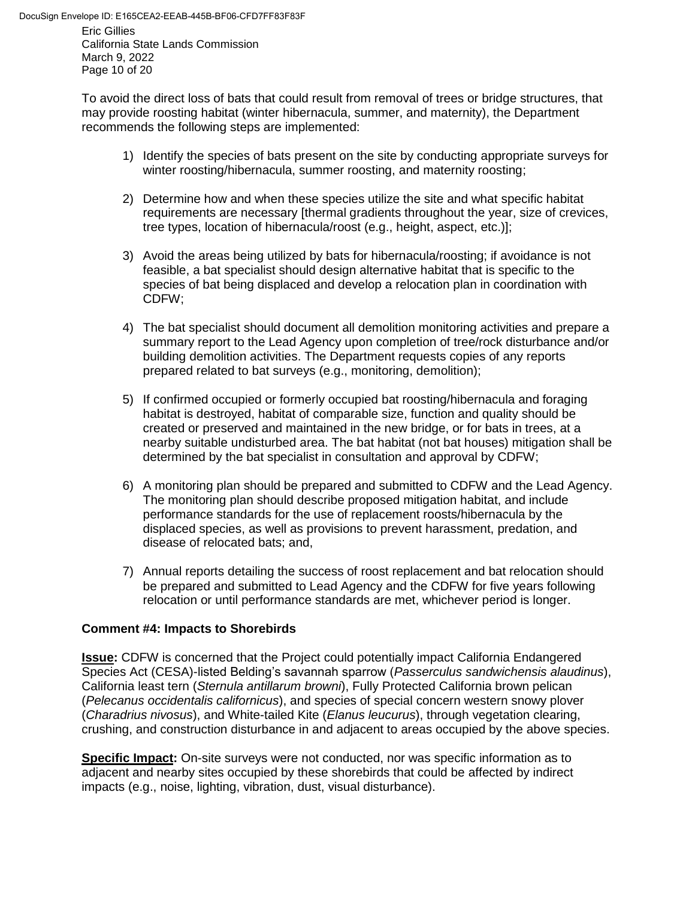California State Lands Commission March 9, 2022 Page 10 of 20

To avoid the direct loss of bats that could result from removal of trees or bridge structures, that may provide roosting habitat (winter hibernacula, summer, and maternity), the Department recommends the following steps are implemented:

- 1) Identify the species of bats present on the site by conducting appropriate surveys for winter roosting/hibernacula, summer roosting, and maternity roosting;
- 2) Determine how and when these species utilize the site and what specific habitat requirements are necessary [thermal gradients throughout the year, size of crevices, tree types, location of hibernacula/roost (e.g., height, aspect, etc.)];
- 3) Avoid the areas being utilized by bats for hibernacula/roosting; if avoidance is not feasible, a bat specialist should design alternative habitat that is specific to the species of bat being displaced and develop a relocation plan in coordination with CDFW;
- 4) The bat specialist should document all demolition monitoring activities and prepare a summary report to the Lead Agency upon completion of tree/rock disturbance and/or building demolition activities. The Department requests copies of any reports prepared related to bat surveys (e.g., monitoring, demolition);
- 5) If confirmed occupied or formerly occupied bat roosting/hibernacula and foraging habitat is destroyed, habitat of comparable size, function and quality should be created or preserved and maintained in the new bridge, or for bats in trees, at a nearby suitable undisturbed area. The bat habitat (not bat houses) mitigation shall be determined by the bat specialist in consultation and approval by CDFW;
- 6) A monitoring plan should be prepared and submitted to CDFW and the Lead Agency. The monitoring plan should describe proposed mitigation habitat, and include performance standards for the use of replacement roosts/hibernacula by the displaced species, as well as provisions to prevent harassment, predation, and disease of relocated bats; and,
- 7) Annual reports detailing the success of roost replacement and bat relocation should be prepared and submitted to Lead Agency and the CDFW for five years following relocation or until performance standards are met, whichever period is longer.

## **Comment #4: Impacts to Shorebirds**

**Issue:** CDFW is concerned that the Project could potentially impact California Endangered Species Act (CESA)-listed Belding's savannah sparrow (*Passerculus sandwichensis alaudinus*), California least tern (*Sternula antillarum browni*), Fully Protected California brown pelican (*Pelecanus occidentalis californicus*), and species of special concern western snowy plover (*Charadrius nivosus*), and White-tailed Kite (*Elanus leucurus*), through vegetation clearing, crushing, and construction disturbance in and adjacent to areas occupied by the above species.

**Specific Impact:** On-site surveys were not conducted, nor was specific information as to adjacent and nearby sites occupied by these shorebirds that could be affected by indirect impacts (e.g., noise, lighting, vibration, dust, visual disturbance).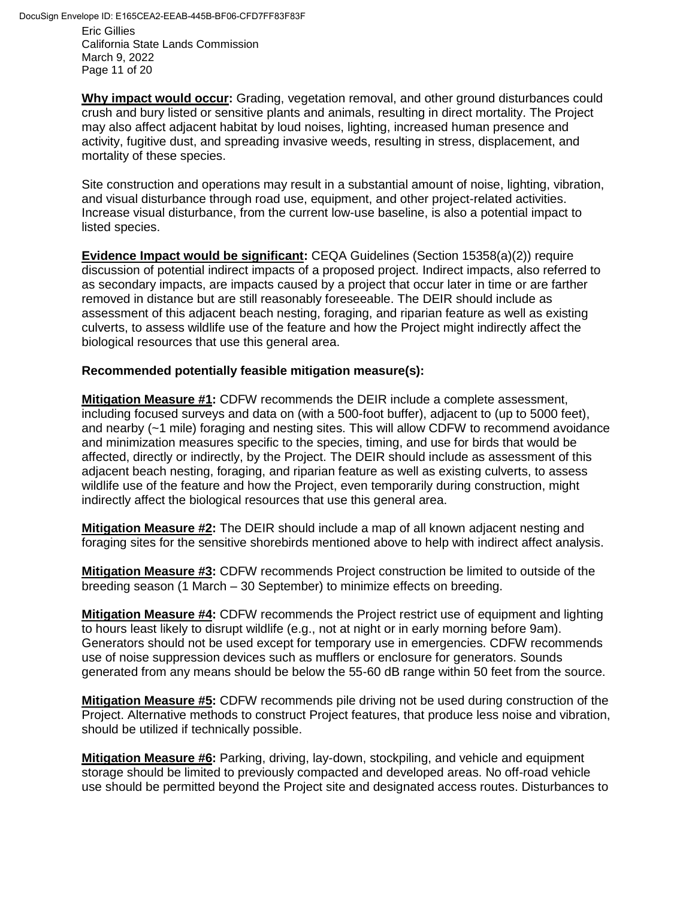Eric Gillies California State Lands Commission March 9, 2022 Page 11 of 20

**Why impact would occur:** Grading, vegetation removal, and other ground disturbances could crush and bury listed or sensitive plants and animals, resulting in direct mortality. The Project may also affect adjacent habitat by loud noises, lighting, increased human presence and activity, fugitive dust, and spreading invasive weeds, resulting in stress, displacement, and mortality of these species.

Site construction and operations may result in a substantial amount of noise, lighting, vibration, and visual disturbance through road use, equipment, and other project-related activities. Increase visual disturbance, from the current low-use baseline, is also a potential impact to listed species.

**Evidence Impact would be significant:** CEQA Guidelines (Section 15358(a)(2)) require discussion of potential indirect impacts of a proposed project. Indirect impacts, also referred to as secondary impacts, are impacts caused by a project that occur later in time or are farther removed in distance but are still reasonably foreseeable. The DEIR should include as assessment of this adjacent beach nesting, foraging, and riparian feature as well as existing culverts, to assess wildlife use of the feature and how the Project might indirectly affect the biological resources that use this general area.

### **Recommended potentially feasible mitigation measure(s):**

**Mitigation Measure #1:** CDFW recommends the DEIR include a complete assessment, including focused surveys and data on (with a 500-foot buffer), adjacent to (up to 5000 feet), and nearby (~1 mile) foraging and nesting sites. This will allow CDFW to recommend avoidance and minimization measures specific to the species, timing, and use for birds that would be affected, directly or indirectly, by the Project. The DEIR should include as assessment of this adjacent beach nesting, foraging, and riparian feature as well as existing culverts, to assess wildlife use of the feature and how the Project, even temporarily during construction, might indirectly affect the biological resources that use this general area.

**Mitigation Measure #2:** The DEIR should include a map of all known adjacent nesting and foraging sites for the sensitive shorebirds mentioned above to help with indirect affect analysis.

**Mitigation Measure #3:** CDFW recommends Project construction be limited to outside of the breeding season (1 March – 30 September) to minimize effects on breeding.

**Mitigation Measure #4:** CDFW recommends the Project restrict use of equipment and lighting to hours least likely to disrupt wildlife (e.g., not at night or in early morning before 9am). Generators should not be used except for temporary use in emergencies. CDFW recommends use of noise suppression devices such as mufflers or enclosure for generators. Sounds generated from any means should be below the 55-60 dB range within 50 feet from the source.

**Mitigation Measure #5:** CDFW recommends pile driving not be used during construction of the Project. Alternative methods to construct Project features, that produce less noise and vibration, should be utilized if technically possible.

**Mitigation Measure #6:** Parking, driving, lay-down, stockpiling, and vehicle and equipment storage should be limited to previously compacted and developed areas. No off-road vehicle use should be permitted beyond the Project site and designated access routes. Disturbances to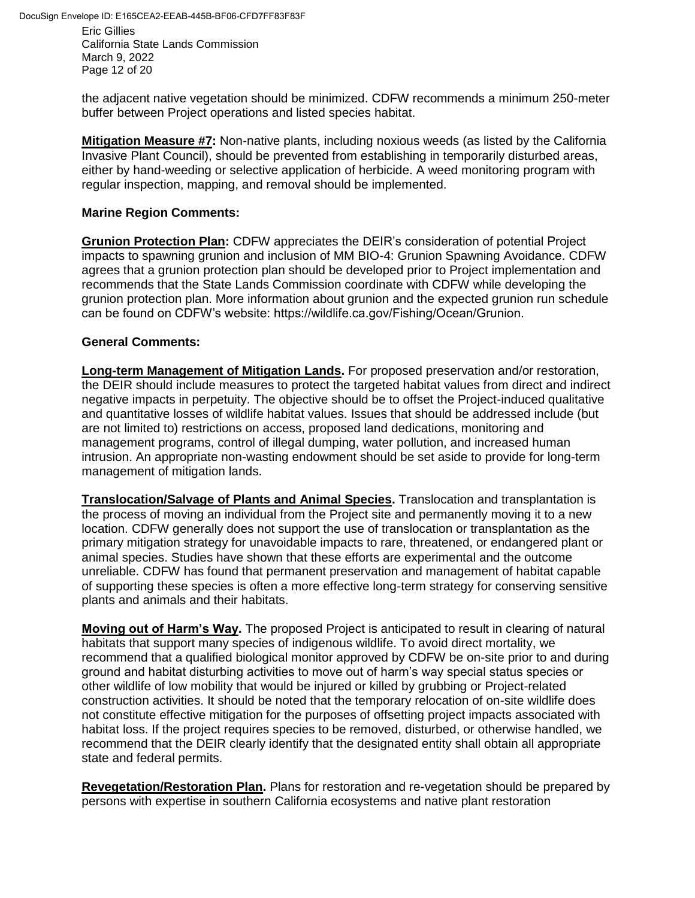Eric Gillies California State Lands Commission March 9, 2022 Page 12 of 20

the adjacent native vegetation should be minimized. CDFW recommends a minimum 250-meter buffer between Project operations and listed species habitat.

**Mitigation Measure #7:** Non-native plants, including noxious weeds (as listed by the California Invasive Plant Council), should be prevented from establishing in temporarily disturbed areas, either by hand-weeding or selective application of herbicide. A weed monitoring program with regular inspection, mapping, and removal should be implemented.

### **Marine Region Comments:**

**Grunion Protection Plan:** CDFW appreciates the DEIR's consideration of potential Project impacts to spawning grunion and inclusion of MM BIO-4: Grunion Spawning Avoidance. CDFW agrees that a grunion protection plan should be developed prior to Project implementation and recommends that the State Lands Commission coordinate with CDFW while developing the grunion protection plan. More information about grunion and the expected grunion run schedule can be found on CDFW's website: https://wildlife.ca.gov/Fishing/Ocean/Grunion.

### **General Comments:**

**Long-term Management of Mitigation Lands.** For proposed preservation and/or restoration, the DEIR should include measures to protect the targeted habitat values from direct and indirect negative impacts in perpetuity. The objective should be to offset the Project-induced qualitative and quantitative losses of wildlife habitat values. Issues that should be addressed include (but are not limited to) restrictions on access, proposed land dedications, monitoring and management programs, control of illegal dumping, water pollution, and increased human intrusion. An appropriate non-wasting endowment should be set aside to provide for long-term management of mitigation lands.

**Translocation/Salvage of Plants and Animal Species.** Translocation and transplantation is the process of moving an individual from the Project site and permanently moving it to a new location. CDFW generally does not support the use of translocation or transplantation as the primary mitigation strategy for unavoidable impacts to rare, threatened, or endangered plant or animal species. Studies have shown that these efforts are experimental and the outcome unreliable. CDFW has found that permanent preservation and management of habitat capable of supporting these species is often a more effective long-term strategy for conserving sensitive plants and animals and their habitats.

**Moving out of Harm's Way.** The proposed Project is anticipated to result in clearing of natural habitats that support many species of indigenous wildlife. To avoid direct mortality, we recommend that a qualified biological monitor approved by CDFW be on-site prior to and during ground and habitat disturbing activities to move out of harm's way special status species or other wildlife of low mobility that would be injured or killed by grubbing or Project-related construction activities. It should be noted that the temporary relocation of on-site wildlife does not constitute effective mitigation for the purposes of offsetting project impacts associated with habitat loss. If the project requires species to be removed, disturbed, or otherwise handled, we recommend that the DEIR clearly identify that the designated entity shall obtain all appropriate state and federal permits.

**Revegetation/Restoration Plan.** Plans for restoration and re-vegetation should be prepared by persons with expertise in southern California ecosystems and native plant restoration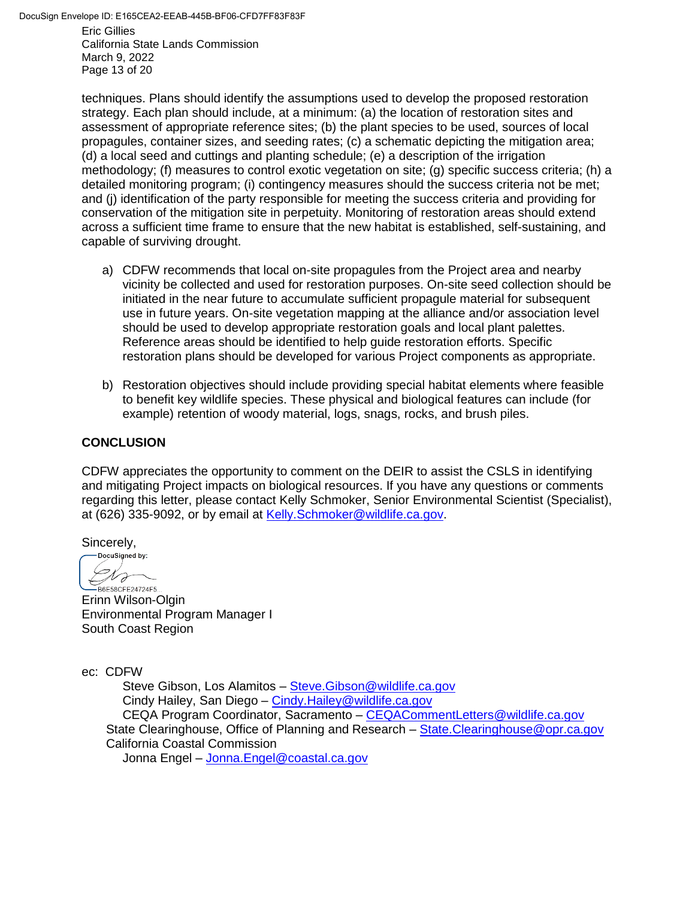Eric Gillies California State Lands Commission March 9, 2022 Page 13 of 20

techniques. Plans should identify the assumptions used to develop the proposed restoration strategy. Each plan should include, at a minimum: (a) the location of restoration sites and assessment of appropriate reference sites; (b) the plant species to be used, sources of local propagules, container sizes, and seeding rates; (c) a schematic depicting the mitigation area; (d) a local seed and cuttings and planting schedule; (e) a description of the irrigation methodology; (f) measures to control exotic vegetation on site; (g) specific success criteria; (h) a detailed monitoring program; (i) contingency measures should the success criteria not be met; and (j) identification of the party responsible for meeting the success criteria and providing for conservation of the mitigation site in perpetuity. Monitoring of restoration areas should extend across a sufficient time frame to ensure that the new habitat is established, self-sustaining, and capable of surviving drought.

- a) CDFW recommends that local on-site propagules from the Project area and nearby vicinity be collected and used for restoration purposes. On-site seed collection should be initiated in the near future to accumulate sufficient propagule material for subsequent use in future years. On-site vegetation mapping at the alliance and/or association level should be used to develop appropriate restoration goals and local plant palettes. Reference areas should be identified to help guide restoration efforts. Specific restoration plans should be developed for various Project components as appropriate.
- b) Restoration objectives should include providing special habitat elements where feasible to benefit key wildlife species. These physical and biological features can include (for example) retention of woody material, logs, snags, rocks, and brush piles.

### **CONCLUSION**

CDFW appreciates the opportunity to comment on the DEIR to assist the CSLS in identifying and mitigating Project impacts on biological resources. If you have any questions or comments regarding this letter, please contact Kelly Schmoker, Senior Environmental Scientist (Specialist), at (626) 335-9092, or by email at [Kelly.Schmoker@wildlife.ca.gov.](mailto:Kelly.Schmoker@wildlife.ca.gov)

Sincerely,

DocuSigned by: Dro -B6E58CFE24724F5...

Erinn Wilson-Olgin Environmental Program Manager I South Coast Region

ec: CDFW

Steve Gibson, Los Alamitos - Steve. Gibson@wildlife.ca.gov Cindy Hailey, San Diego – [Cindy.Hailey@wildlife.ca.gov](mailto:Cindy.Hailey@wildlife.ca.gov) CEQA Program Coordinator, Sacramento – [CEQACommentLetters@wildlife.ca.gov](mailto:CEQACommentLetters@wildlife.ca.gov) State Clearinghouse, Office of Planning and Research – State. Clearinghouse@opr.ca.gov California Coastal Commission Jonna Engel – [Jonna.Engel@coastal.ca.gov](mailto:Jonna.Engel@coastal.ca.gov)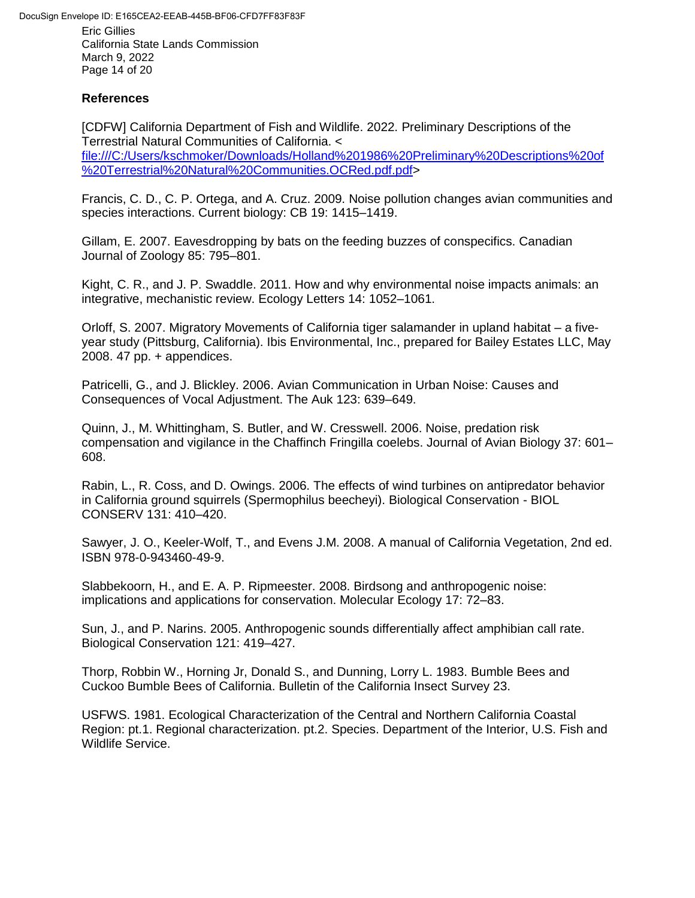Eric Gillies California State Lands Commission March 9, 2022 Page 14 of 20

#### **References**

[CDFW] California Department of Fish and Wildlife. 2022. Preliminary Descriptions of the Terrestrial Natural Communities of California. < [file:///C:/Users/kschmoker/Downloads/Holland%201986%20Preliminary%20Descriptions%20of](file:///C:/Users/kschmoker/Downloads/Holland%201986%20Preliminary%20Descriptions%20of%20Terrestrial%20Natural%20Communities.OCRed.pdf.pdf) [%20Terrestrial%20Natural%20Communities.OCRed.pdf.pdf>](file:///C:/Users/kschmoker/Downloads/Holland%201986%20Preliminary%20Descriptions%20of%20Terrestrial%20Natural%20Communities.OCRed.pdf.pdf)

Francis, C. D., C. P. Ortega, and A. Cruz. 2009. Noise pollution changes avian communities and species interactions. Current biology: CB 19: 1415–1419.

Gillam, E. 2007. Eavesdropping by bats on the feeding buzzes of conspecifics. Canadian Journal of Zoology 85: 795–801.

Kight, C. R., and J. P. Swaddle. 2011. How and why environmental noise impacts animals: an integrative, mechanistic review. Ecology Letters 14: 1052–1061.

Orloff, S. 2007. Migratory Movements of California tiger salamander in upland habitat – a fiveyear study (Pittsburg, California). Ibis Environmental, Inc., prepared for Bailey Estates LLC, May 2008. 47 pp. + appendices.

Patricelli, G., and J. Blickley. 2006. Avian Communication in Urban Noise: Causes and Consequences of Vocal Adjustment. The Auk 123: 639–649.

Quinn, J., M. Whittingham, S. Butler, and W. Cresswell. 2006. Noise, predation risk compensation and vigilance in the Chaffinch Fringilla coelebs. Journal of Avian Biology 37: 601– 608.

Rabin, L., R. Coss, and D. Owings. 2006. The effects of wind turbines on antipredator behavior in California ground squirrels (Spermophilus beecheyi). Biological Conservation - BIOL CONSERV 131: 410–420.

Sawyer, J. O., Keeler-Wolf, T., and Evens J.M. 2008. A manual of California Vegetation, 2nd ed. ISBN 978-0-943460-49-9.

Slabbekoorn, H., and E. A. P. Ripmeester. 2008. Birdsong and anthropogenic noise: implications and applications for conservation. Molecular Ecology 17: 72–83.

Sun, J., and P. Narins. 2005. Anthropogenic sounds differentially affect amphibian call rate. Biological Conservation 121: 419–427.

Thorp, Robbin W., Horning Jr, Donald S., and Dunning, Lorry L. 1983. Bumble Bees and Cuckoo Bumble Bees of California. Bulletin of the California Insect Survey 23.

USFWS. 1981. Ecological Characterization of the Central and Northern California Coastal Region: pt.1. Regional characterization. pt.2. Species. Department of the Interior, U.S. Fish and Wildlife Service.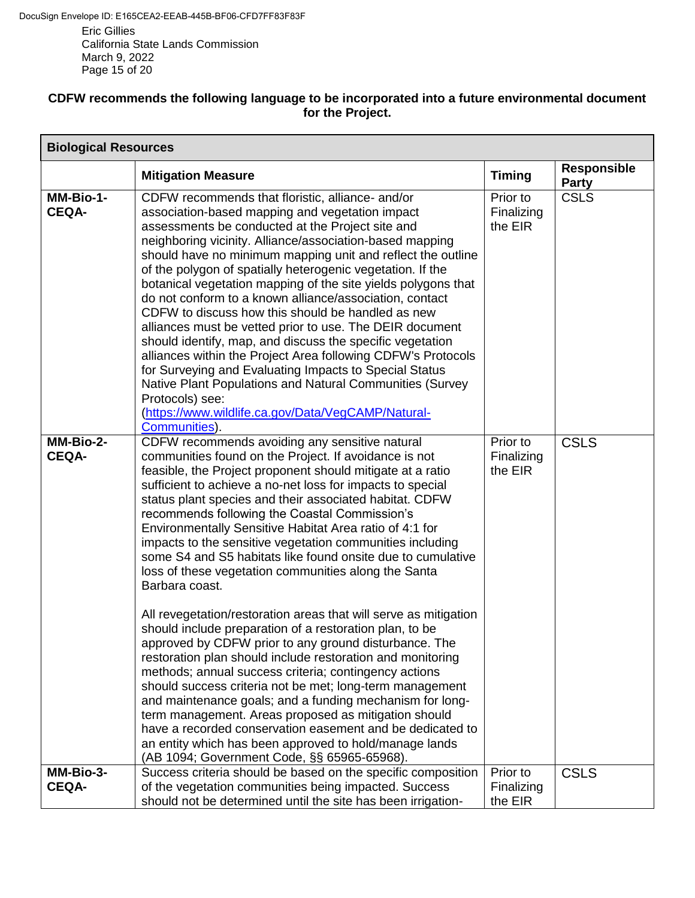California State Lands Commission March 9, 2022 Page 15 of 20

### **CDFW recommends the following language to be incorporated into a future environmental document for the Project.**

| <b>Biological Resources</b> |                                                                                                                                                                                                                                                                                                                                                                                                                                                                                                                                                                                                                                                                                                                                                                                                                                                                                                                                                                                                                                                                                                                                                                                                                                                                                       |                                   |                                    |
|-----------------------------|---------------------------------------------------------------------------------------------------------------------------------------------------------------------------------------------------------------------------------------------------------------------------------------------------------------------------------------------------------------------------------------------------------------------------------------------------------------------------------------------------------------------------------------------------------------------------------------------------------------------------------------------------------------------------------------------------------------------------------------------------------------------------------------------------------------------------------------------------------------------------------------------------------------------------------------------------------------------------------------------------------------------------------------------------------------------------------------------------------------------------------------------------------------------------------------------------------------------------------------------------------------------------------------|-----------------------------------|------------------------------------|
|                             | <b>Mitigation Measure</b>                                                                                                                                                                                                                                                                                                                                                                                                                                                                                                                                                                                                                                                                                                                                                                                                                                                                                                                                                                                                                                                                                                                                                                                                                                                             | <b>Timing</b>                     | <b>Responsible</b><br><b>Party</b> |
| MM-Bio-1-<br><b>CEQA-</b>   | CDFW recommends that floristic, alliance- and/or<br>association-based mapping and vegetation impact<br>assessments be conducted at the Project site and<br>neighboring vicinity. Alliance/association-based mapping<br>should have no minimum mapping unit and reflect the outline<br>of the polygon of spatially heterogenic vegetation. If the<br>botanical vegetation mapping of the site yields polygons that<br>do not conform to a known alliance/association, contact<br>CDFW to discuss how this should be handled as new<br>alliances must be vetted prior to use. The DEIR document<br>should identify, map, and discuss the specific vegetation<br>alliances within the Project Area following CDFW's Protocols<br>for Surveying and Evaluating Impacts to Special Status<br>Native Plant Populations and Natural Communities (Survey<br>Protocols) see:<br>(https://www.wildlife.ca.gov/Data/VegCAMP/Natural-<br>Communities).                                                                                                                                                                                                                                                                                                                                            | Prior to<br>Finalizing<br>the EIR | <b>CSLS</b>                        |
| MM-Bio-2-<br><b>CEQA-</b>   | CDFW recommends avoiding any sensitive natural<br>communities found on the Project. If avoidance is not<br>feasible, the Project proponent should mitigate at a ratio<br>sufficient to achieve a no-net loss for impacts to special<br>status plant species and their associated habitat. CDFW<br>recommends following the Coastal Commission's<br>Environmentally Sensitive Habitat Area ratio of 4:1 for<br>impacts to the sensitive vegetation communities including<br>some S4 and S5 habitats like found onsite due to cumulative<br>loss of these vegetation communities along the Santa<br>Barbara coast.<br>All revegetation/restoration areas that will serve as mitigation<br>should include preparation of a restoration plan, to be<br>approved by CDFW prior to any ground disturbance. The<br>restoration plan should include restoration and monitoring<br>methods; annual success criteria; contingency actions<br>should success criteria not be met; long-term management<br>and maintenance goals; and a funding mechanism for long-<br>term management. Areas proposed as mitigation should<br>have a recorded conservation easement and be dedicated to<br>an entity which has been approved to hold/manage lands<br>(AB 1094; Government Code, §§ 65965-65968). | Prior to<br>Finalizing<br>the EIR | <b>CSLS</b>                        |
| MM-Bio-3-<br><b>CEQA-</b>   | Success criteria should be based on the specific composition<br>of the vegetation communities being impacted. Success<br>should not be determined until the site has been irrigation-                                                                                                                                                                                                                                                                                                                                                                                                                                                                                                                                                                                                                                                                                                                                                                                                                                                                                                                                                                                                                                                                                                 | Prior to<br>Finalizing<br>the EIR | <b>CSLS</b>                        |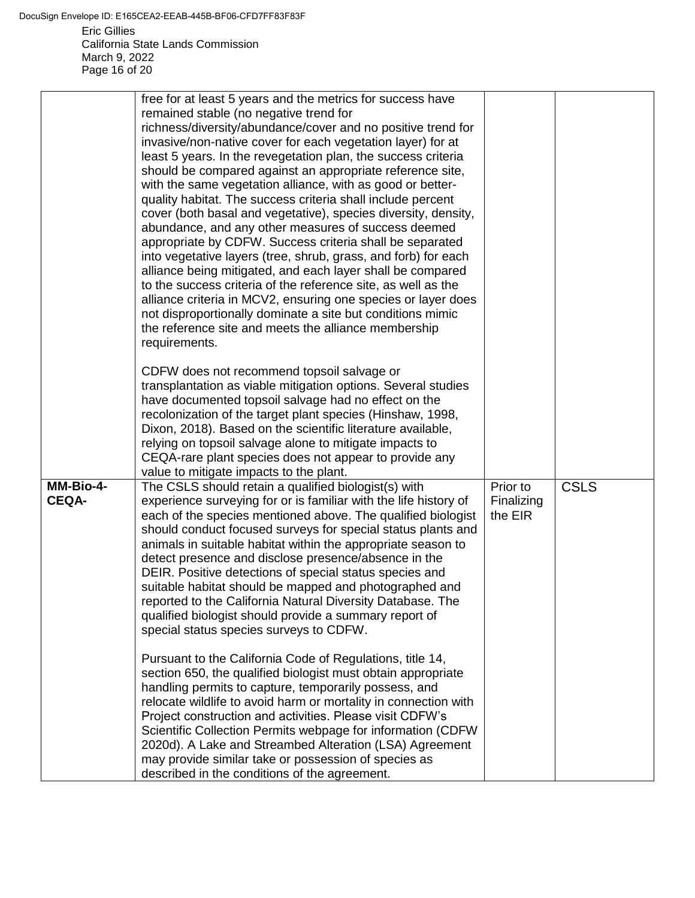Eric Gillies California State Lands Commission DocuSign Envelope ID: E165CEA2-EEAB-445B-BF06-CFD7FF83F83F

March 9, 2022 Page 16 of 20

|                           | free for at least 5 years and the metrics for success have<br>remained stable (no negative trend for<br>richness/diversity/abundance/cover and no positive trend for<br>invasive/non-native cover for each vegetation layer) for at<br>least 5 years. In the revegetation plan, the success criteria<br>should be compared against an appropriate reference site,<br>with the same vegetation alliance, with as good or better-<br>quality habitat. The success criteria shall include percent<br>cover (both basal and vegetative), species diversity, density,<br>abundance, and any other measures of success deemed<br>appropriate by CDFW. Success criteria shall be separated<br>into vegetative layers (tree, shrub, grass, and forb) for each<br>alliance being mitigated, and each layer shall be compared<br>to the success criteria of the reference site, as well as the<br>alliance criteria in MCV2, ensuring one species or layer does<br>not disproportionally dominate a site but conditions mimic<br>the reference site and meets the alliance membership<br>requirements.<br>CDFW does not recommend topsoil salvage or<br>transplantation as viable mitigation options. Several studies<br>have documented topsoil salvage had no effect on the<br>recolonization of the target plant species (Hinshaw, 1998,<br>Dixon, 2018). Based on the scientific literature available,<br>relying on topsoil salvage alone to mitigate impacts to |                                   |             |
|---------------------------|-------------------------------------------------------------------------------------------------------------------------------------------------------------------------------------------------------------------------------------------------------------------------------------------------------------------------------------------------------------------------------------------------------------------------------------------------------------------------------------------------------------------------------------------------------------------------------------------------------------------------------------------------------------------------------------------------------------------------------------------------------------------------------------------------------------------------------------------------------------------------------------------------------------------------------------------------------------------------------------------------------------------------------------------------------------------------------------------------------------------------------------------------------------------------------------------------------------------------------------------------------------------------------------------------------------------------------------------------------------------------------------------------------------------------------------------------------------|-----------------------------------|-------------|
| MM-Bio-4-<br><b>CEQA-</b> | CEQA-rare plant species does not appear to provide any<br>value to mitigate impacts to the plant.<br>The CSLS should retain a qualified biologist(s) with<br>experience surveying for or is familiar with the life history of<br>each of the species mentioned above. The qualified biologist<br>should conduct focused surveys for special status plants and<br>animals in suitable habitat within the appropriate season to<br>detect presence and disclose presence/absence in the<br>DEIR. Positive detections of special status species and<br>suitable habitat should be mapped and photographed and<br>reported to the California Natural Diversity Database. The<br>qualified biologist should provide a summary report of<br>special status species surveys to CDFW.<br>Pursuant to the California Code of Regulations, title 14,<br>section 650, the qualified biologist must obtain appropriate<br>handling permits to capture, temporarily possess, and<br>relocate wildlife to avoid harm or mortality in connection with<br>Project construction and activities. Please visit CDFW's<br>Scientific Collection Permits webpage for information (CDFW<br>2020d). A Lake and Streambed Alteration (LSA) Agreement<br>may provide similar take or possession of species as<br>described in the conditions of the agreement.                                                                                                                       | Prior to<br>Finalizing<br>the EIR | <b>CSLS</b> |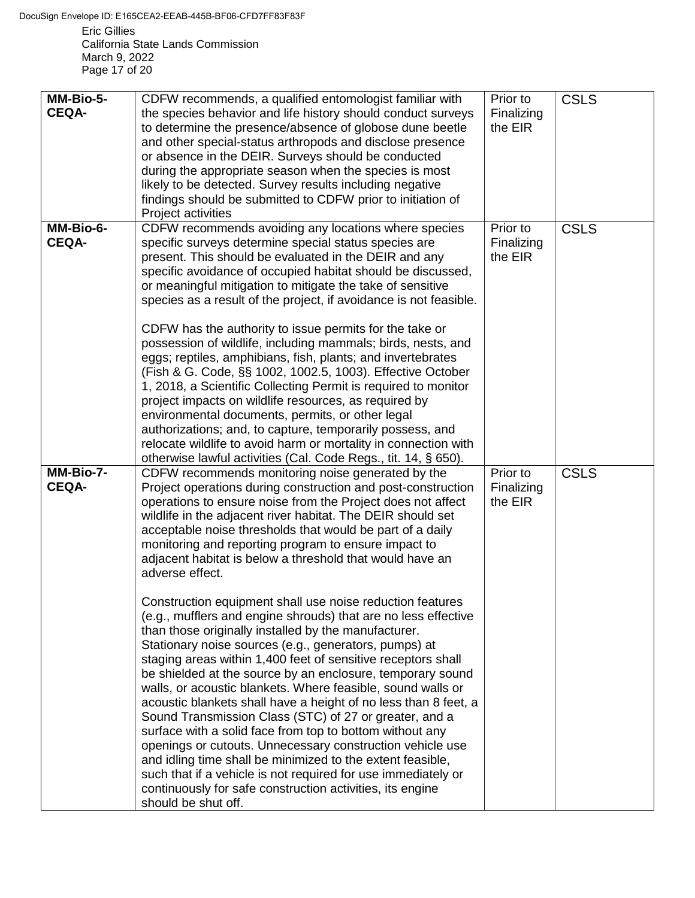Eric Gillies California State Lands Commission March 9, 2022 Page 17 of 20

| MM-Bio-5-<br><b>CEQA-</b> | CDFW recommends, a qualified entomologist familiar with<br>the species behavior and life history should conduct surveys<br>to determine the presence/absence of globose dune beetle<br>and other special-status arthropods and disclose presence<br>or absence in the DEIR. Surveys should be conducted<br>during the appropriate season when the species is most<br>likely to be detected. Survey results including negative<br>findings should be submitted to CDFW prior to initiation of<br>Project activities                                                                                                                                                                                                                                                                                                                                                                                                                                                                                                                                                                                                                                                                                                                                                                                                                                                        | Prior to<br>Finalizing<br>the EIR | <b>CSLS</b> |
|---------------------------|---------------------------------------------------------------------------------------------------------------------------------------------------------------------------------------------------------------------------------------------------------------------------------------------------------------------------------------------------------------------------------------------------------------------------------------------------------------------------------------------------------------------------------------------------------------------------------------------------------------------------------------------------------------------------------------------------------------------------------------------------------------------------------------------------------------------------------------------------------------------------------------------------------------------------------------------------------------------------------------------------------------------------------------------------------------------------------------------------------------------------------------------------------------------------------------------------------------------------------------------------------------------------------------------------------------------------------------------------------------------------|-----------------------------------|-------------|
| MM-Bio-6-<br><b>CEQA-</b> | CDFW recommends avoiding any locations where species<br>specific surveys determine special status species are<br>present. This should be evaluated in the DEIR and any<br>specific avoidance of occupied habitat should be discussed,<br>or meaningful mitigation to mitigate the take of sensitive<br>species as a result of the project, if avoidance is not feasible.<br>CDFW has the authority to issue permits for the take or<br>possession of wildlife, including mammals; birds, nests, and<br>eggs; reptiles, amphibians, fish, plants; and invertebrates<br>(Fish & G. Code, §§ 1002, 1002.5, 1003). Effective October<br>1, 2018, a Scientific Collecting Permit is required to monitor<br>project impacts on wildlife resources, as required by<br>environmental documents, permits, or other legal<br>authorizations; and, to capture, temporarily possess, and<br>relocate wildlife to avoid harm or mortality in connection with<br>otherwise lawful activities (Cal. Code Regs., tit. 14, § 650).                                                                                                                                                                                                                                                                                                                                                         | Prior to<br>Finalizing<br>the EIR | <b>CSLS</b> |
| MM-Bio-7-<br><b>CEQA-</b> | CDFW recommends monitoring noise generated by the<br>Project operations during construction and post-construction<br>operations to ensure noise from the Project does not affect<br>wildlife in the adjacent river habitat. The DEIR should set<br>acceptable noise thresholds that would be part of a daily<br>monitoring and reporting program to ensure impact to<br>adjacent habitat is below a threshold that would have an<br>adverse effect.<br>Construction equipment shall use noise reduction features<br>(e.g., mufflers and engine shrouds) that are no less effective<br>than those originally installed by the manufacturer.<br>Stationary noise sources (e.g., generators, pumps) at<br>staging areas within 1,400 feet of sensitive receptors shall<br>be shielded at the source by an enclosure, temporary sound<br>walls, or acoustic blankets. Where feasible, sound walls or<br>acoustic blankets shall have a height of no less than 8 feet, a<br>Sound Transmission Class (STC) of 27 or greater, and a<br>surface with a solid face from top to bottom without any<br>openings or cutouts. Unnecessary construction vehicle use<br>and idling time shall be minimized to the extent feasible,<br>such that if a vehicle is not required for use immediately or<br>continuously for safe construction activities, its engine<br>should be shut off. | Prior to<br>Finalizing<br>the EIR | <b>CSLS</b> |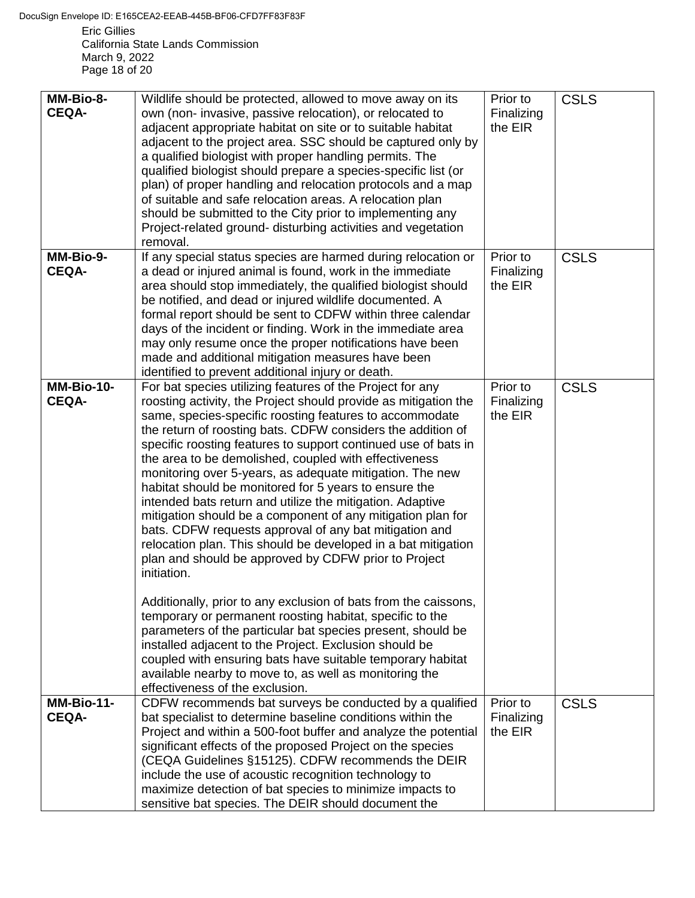Eric Gillies California State Lands Commission March 9, 2022 Page 18 of 20

| MM-Bio-8-<br><b>CEQA-</b>    | Wildlife should be protected, allowed to move away on its<br>own (non-invasive, passive relocation), or relocated to                                                                                                                                                                                                                                                                                                                                                                                                                                                                                                                                                                                                                                                                                                                                                                                                                                                                                                                                                                                                                                                                                                                                    | Prior to<br>Finalizing            | <b>CSLS</b> |
|------------------------------|---------------------------------------------------------------------------------------------------------------------------------------------------------------------------------------------------------------------------------------------------------------------------------------------------------------------------------------------------------------------------------------------------------------------------------------------------------------------------------------------------------------------------------------------------------------------------------------------------------------------------------------------------------------------------------------------------------------------------------------------------------------------------------------------------------------------------------------------------------------------------------------------------------------------------------------------------------------------------------------------------------------------------------------------------------------------------------------------------------------------------------------------------------------------------------------------------------------------------------------------------------|-----------------------------------|-------------|
|                              | adjacent appropriate habitat on site or to suitable habitat<br>adjacent to the project area. SSC should be captured only by<br>a qualified biologist with proper handling permits. The<br>qualified biologist should prepare a species-specific list (or<br>plan) of proper handling and relocation protocols and a map<br>of suitable and safe relocation areas. A relocation plan<br>should be submitted to the City prior to implementing any<br>Project-related ground- disturbing activities and vegetation<br>removal.                                                                                                                                                                                                                                                                                                                                                                                                                                                                                                                                                                                                                                                                                                                            | the EIR                           |             |
| MM-Bio-9-<br><b>CEQA-</b>    | If any special status species are harmed during relocation or<br>a dead or injured animal is found, work in the immediate<br>area should stop immediately, the qualified biologist should<br>be notified, and dead or injured wildlife documented. A<br>formal report should be sent to CDFW within three calendar<br>days of the incident or finding. Work in the immediate area<br>may only resume once the proper notifications have been<br>made and additional mitigation measures have been<br>identified to prevent additional injury or death.                                                                                                                                                                                                                                                                                                                                                                                                                                                                                                                                                                                                                                                                                                  | Prior to<br>Finalizing<br>the EIR | <b>CSLS</b> |
| $MM-Bio-10-$<br><b>CEQA-</b> | For bat species utilizing features of the Project for any<br>roosting activity, the Project should provide as mitigation the<br>same, species-specific roosting features to accommodate<br>the return of roosting bats. CDFW considers the addition of<br>specific roosting features to support continued use of bats in<br>the area to be demolished, coupled with effectiveness<br>monitoring over 5-years, as adequate mitigation. The new<br>habitat should be monitored for 5 years to ensure the<br>intended bats return and utilize the mitigation. Adaptive<br>mitigation should be a component of any mitigation plan for<br>bats. CDFW requests approval of any bat mitigation and<br>relocation plan. This should be developed in a bat mitigation<br>plan and should be approved by CDFW prior to Project<br>initiation.<br>Additionally, prior to any exclusion of bats from the caissons,<br>temporary or permanent roosting habitat, specific to the<br>parameters of the particular bat species present, should be<br>installed adjacent to the Project. Exclusion should be<br>coupled with ensuring bats have suitable temporary habitat<br>available nearby to move to, as well as monitoring the<br>effectiveness of the exclusion. | Prior to<br>Finalizing<br>the EIR | <b>CSLS</b> |
| MM-Bio-11-<br><b>CEQA-</b>   | CDFW recommends bat surveys be conducted by a qualified<br>bat specialist to determine baseline conditions within the<br>Project and within a 500-foot buffer and analyze the potential<br>significant effects of the proposed Project on the species<br>(CEQA Guidelines §15125). CDFW recommends the DEIR<br>include the use of acoustic recognition technology to<br>maximize detection of bat species to minimize impacts to<br>sensitive bat species. The DEIR should document the                                                                                                                                                                                                                                                                                                                                                                                                                                                                                                                                                                                                                                                                                                                                                                 | Prior to<br>Finalizing<br>the EIR | <b>CSLS</b> |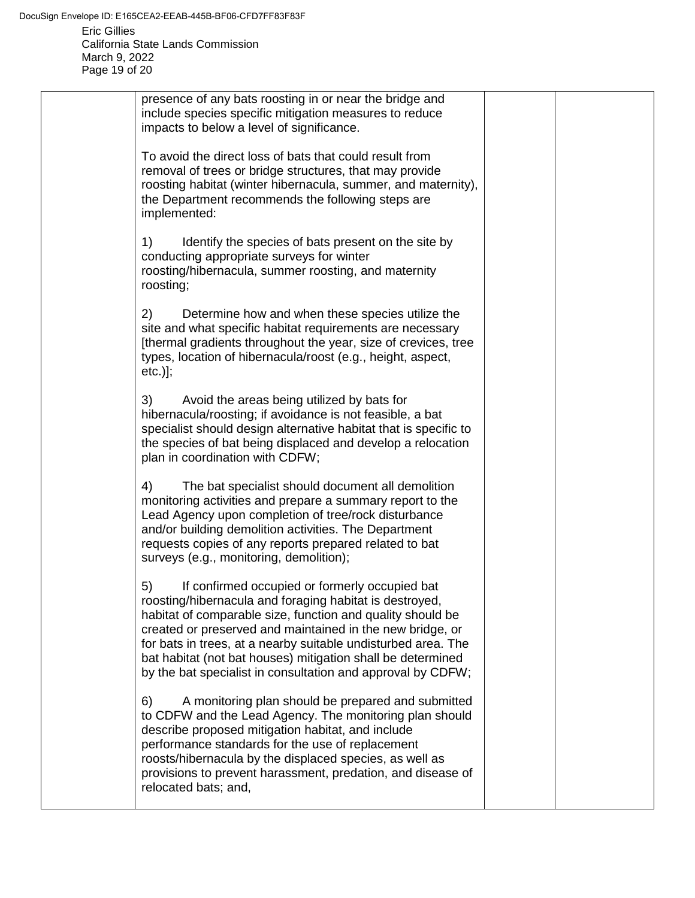| presence of any bats roosting in or near the bridge and<br>include species specific mitigation measures to reduce<br>impacts to below a level of significance.                                                                                                                                                                                                                                                                            |  |
|-------------------------------------------------------------------------------------------------------------------------------------------------------------------------------------------------------------------------------------------------------------------------------------------------------------------------------------------------------------------------------------------------------------------------------------------|--|
|                                                                                                                                                                                                                                                                                                                                                                                                                                           |  |
| To avoid the direct loss of bats that could result from<br>removal of trees or bridge structures, that may provide<br>roosting habitat (winter hibernacula, summer, and maternity),<br>the Department recommends the following steps are<br>implemented:                                                                                                                                                                                  |  |
| 1)<br>Identify the species of bats present on the site by<br>conducting appropriate surveys for winter<br>roosting/hibernacula, summer roosting, and maternity<br>roosting;                                                                                                                                                                                                                                                               |  |
| 2)<br>Determine how and when these species utilize the<br>site and what specific habitat requirements are necessary<br>[thermal gradients throughout the year, size of crevices, tree<br>types, location of hibernacula/roost (e.g., height, aspect,<br>$etc.)$ ];                                                                                                                                                                        |  |
| 3)<br>Avoid the areas being utilized by bats for<br>hibernacula/roosting; if avoidance is not feasible, a bat<br>specialist should design alternative habitat that is specific to<br>the species of bat being displaced and develop a relocation<br>plan in coordination with CDFW;                                                                                                                                                       |  |
| 4)<br>The bat specialist should document all demolition<br>monitoring activities and prepare a summary report to the<br>Lead Agency upon completion of tree/rock disturbance<br>and/or building demolition activities. The Department<br>requests copies of any reports prepared related to bat<br>surveys (e.g., monitoring, demolition);                                                                                                |  |
| 5)<br>If confirmed occupied or formerly occupied bat<br>roosting/hibernacula and foraging habitat is destroyed,<br>habitat of comparable size, function and quality should be<br>created or preserved and maintained in the new bridge, or<br>for bats in trees, at a nearby suitable undisturbed area. The<br>bat habitat (not bat houses) mitigation shall be determined<br>by the bat specialist in consultation and approval by CDFW; |  |
| A monitoring plan should be prepared and submitted<br>6)<br>to CDFW and the Lead Agency. The monitoring plan should<br>describe proposed mitigation habitat, and include<br>performance standards for the use of replacement<br>roosts/hibernacula by the displaced species, as well as<br>provisions to prevent harassment, predation, and disease of<br>relocated bats; and,                                                            |  |